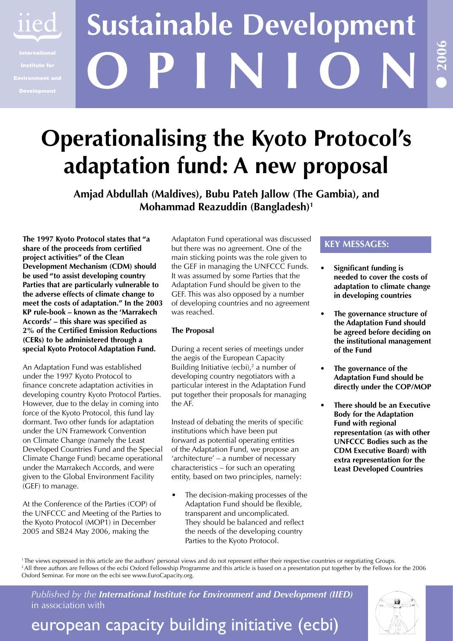

# **O P I N I O N Sustainable Development**

## **Operationalising the Kyoto Protocol's adaptation fund: A new proposal**

**Amjad Abdullah (Maldives), Bubu Pateh Jallow (The Gambia), and Mohammad Reazuddin (Bangladesh)1**

**The 1997 Kyoto Protocol states that "a share of the proceeds from certified project activities" of the Clean Development Mechanism (CDM) should be used "to assist developing country Parties that are particularly vulnerable to the adverse effects of climate change to meet the costs of adaptation." In the 2003 KP rule-book – known as the 'Marrakech Accords' – this share was specified as 2% of the Certified Emission Reductions (CERs) to be administered through a special Kyoto Protocol Adaptation Fund.** 

An Adaptation Fund was established under the 1997 Kyoto Protocol to finance concrete adaptation activities in developing country Kyoto Protocol Parties. However, due to the delay in coming into force of the Kyoto Protocol, this fund lay dormant. Two other funds for adaptation under the UN Framework Convention on Climate Change (namely the Least Developed Countries Fund and the Special Climate Change Fund) became operational under the Marrakech Accords, and were given to the Global Environment Facility (GEF) to manage.

At the Conference of the Parties (COP) of the UNFCCC and Meeting of the Parties to the Kyoto Protocol (MOP1) in December 2005 and SB24 May 2006, making the

Adaptaton Fund operational was discussed but there was no agreement. One of the main sticking points was the role given to the GEF in managing the UNFCCC Funds. It was assumed by some Parties that the Adaptation Fund should be given to the GEF. This was also opposed by a number of developing countries and no agreement was reached.

#### **The Proposal**

During a recent series of meetings under the aegis of the European Capacity Building Initiative  $(ecbi)$ , a number of developing country negotiators with a particular interest in the Adaptation Fund put together their proposals for managing the AF.

Instead of debating the merits of specific institutions which have been put forward as potential operating entities of the Adaptation Fund, we propose an 'architecture' – a number of necessary characteristics – for such an operating entity, based on two principles, namely:

The decision-making processes of the Adaptation Fund should be flexible, transparent and uncomplicated. They should be balanced and reflect the needs of the developing country Parties to the Kyoto Protocol. •

#### **KEY MESSAGES:**

- **Significant funding is needed to cover the costs of adaptation to climate change in developing countries •**
- **The governance structure of the Adaptation Fund should be agreed before deciding on the institutional management of the Fund •**
- **The governance of the Adaptation Fund should be directly under the COP/MOP •**
- **There should be an Executive Body for the Adaptation Fund with regional representation (as with other UNFCCC Bodies such as the CDM Executive Board) with extra representation for the Least Developed Countries •**

<sup>1</sup>The views expressed in this article are the authors' personal views and do not represent either their respective countries or negotiating Groups. <sup>2</sup> All three authors are Fellows of the ecbi Oxford Fellowship Programme and this article is based on a presentation put together by the Fellows for the 2006 Oxford Seminar. For more on the ecbi see www.EuroCapacity.org.

*Published by the International Institute for Environment and Development (IIED)* in association with

### european capacity building initiative (ecbi)